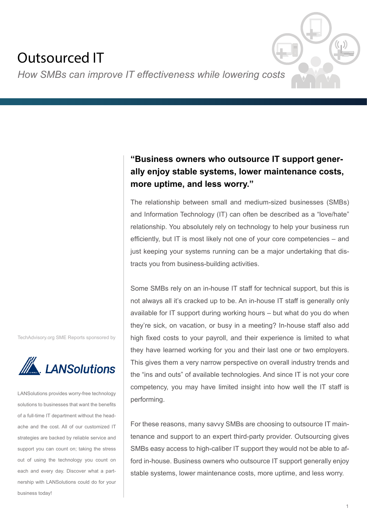# Outsourced IT

*How SMBs can improve IT effectiveness while lowering costs*

# **"Business owners who outsource IT support generally enjoy stable systems, lower maintenance costs, more uptime, and less worry."**

The relationship between small and medium-sized businesses (SMBs) and Information Technology (IT) can often be described as a "love/hate" relationship. You absolutely rely on technology to help your business run efficiently, but IT is most likely not one of your core competencies – and just keeping your systems running can be a major undertaking that distracts you from business-building activities.

Some SMBs rely on an in-house IT staff for technical support, but this is not always all it's cracked up to be. An in-house IT staff is generally only available for IT support during working hours – but what do you do when they're sick, on vacation, or busy in a meeting? In-house staff also add high fixed costs to your payroll, and their experience is limited to what they have learned working for you and their last one or two employers. This gives them a very narrow perspective on overall industry trends and the "ins and outs" of available technologies. And since IT is not your core competency, you may have limited insight into how well the IT staff is performing.

For these reasons, many savvy SMBs are choosing to outsource IT maintenance and support to an expert third-party provider. Outsourcing gives SMBs easy access to high-caliber IT support they would not be able to afford in-house. Business owners who outsource IT support generally enjoy stable systems, lower maintenance costs, more uptime, and less worry.

TechAdvisory.org SME Reports sponsored by



LANSolutions provides worry-free technology solutions to businesses that want the benefits of a full-time IT department without the headache and the cost. All of our customized IT strategies are backed by reliable service and support you can count on; taking the stress out of using the technology you count on each and every day. Discover what a partnership with LANSolutions could do for your business today!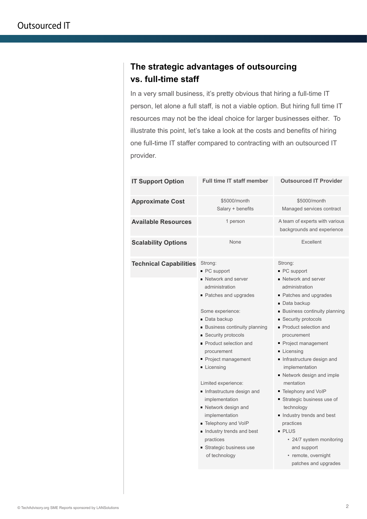## **The strategic advantages of outsourcing vs. full-time staff**

In a very small business, it's pretty obvious that hiring a full-time IT person, let alone a full staff, is not a viable option. But hiring full time IT resources may not be the ideal choice for larger businesses either. To illustrate this point, let's take a look at the costs and benefits of hiring one full-time IT staffer compared to contracting with an outsourced IT provider.

| <b>IT Support Option</b>      | <b>Full time IT staff member</b>                                                                                                                                                                                                                                                                                                                                                                                                                                                                                      | <b>Outsourced IT Provider</b>                                                                                                                                                                                                                                                                                                                                                                                                                                                                                                                                                |
|-------------------------------|-----------------------------------------------------------------------------------------------------------------------------------------------------------------------------------------------------------------------------------------------------------------------------------------------------------------------------------------------------------------------------------------------------------------------------------------------------------------------------------------------------------------------|------------------------------------------------------------------------------------------------------------------------------------------------------------------------------------------------------------------------------------------------------------------------------------------------------------------------------------------------------------------------------------------------------------------------------------------------------------------------------------------------------------------------------------------------------------------------------|
| <b>Approximate Cost</b>       | \$5000/month<br>Salary + benefits                                                                                                                                                                                                                                                                                                                                                                                                                                                                                     | \$5000/month<br>Managed services contract                                                                                                                                                                                                                                                                                                                                                                                                                                                                                                                                    |
| <b>Available Resources</b>    | 1 person                                                                                                                                                                                                                                                                                                                                                                                                                                                                                                              | A team of experts with various<br>backgrounds and experience                                                                                                                                                                                                                                                                                                                                                                                                                                                                                                                 |
| <b>Scalability Options</b>    | None                                                                                                                                                                                                                                                                                                                                                                                                                                                                                                                  | Excellent                                                                                                                                                                                                                                                                                                                                                                                                                                                                                                                                                                    |
| <b>Technical Capabilities</b> | Strong:<br>$\blacksquare$ PC support<br>• Network and server<br>administration<br>• Patches and upgrades<br>Some experience:<br>• Data backup<br><b>Business continuity planning</b><br>• Security protocols<br>■ Product selection and<br>procurement<br>• Project management<br>Licensing<br>Limited experience:<br>Infrastructure design and<br>implementation<br>• Network design and<br>implementation<br>Telephony and VoIP<br>Industry trends and best<br>practices<br>Strategic business use<br>of technology | Strong:<br>$\blacksquare$ PC support<br>• Network and server<br>administration<br>• Patches and upgrades<br>• Data backup<br>• Business continuity planning<br>■ Security protocols<br>• Product selection and<br>procurement<br>• Project management<br>Licensing<br>Infrastructure design and<br>implementation<br>■ Network design and imple<br>mentation<br>■ Telephony and VoIP<br>Strategic business use of<br>technology<br>Industry trends and best<br>practices<br>• PLUS<br>• 24/7 system monitoring<br>and support<br>• remote, overnight<br>patches and upgrades |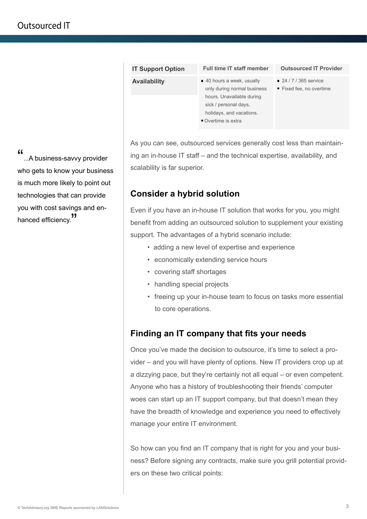| <b>IT Support Option</b> | <b>Full time IT staff member</b>                                                                                                                                 | <b>Outsourced IT Provider</b>                                   |
|--------------------------|------------------------------------------------------------------------------------------------------------------------------------------------------------------|-----------------------------------------------------------------|
| <b>Availability</b>      | 40 hours a week, usually<br>only during normal business<br>hours. Unavailable during<br>sick / personal days,<br>holidays, and vacations.<br>• Overtime is extra | $\blacksquare$ 24 / 7 / 365 service<br>■ Fixed fee, no overtime |

As you can see, outsourced services generally cost less than maintaining an in-house IT staff – and the technical expertise, availability, and scalability is far superior.

### **Consider a hybrid solution**

Even if you have an in-house IT solution that works for you, you might benefit from adding an outsourced solution to supplement your existing support. The advantages of a hybrid scenario include:

- adding a new level of expertise and experience
- economically extending service hours
- covering staff shortages
- handling special projects
- freeing up your in-house team to focus on tasks more essential to core operations.

### **Finding an IT company that fits your needs**

Once you've made the decision to outsource, it's time to select a provider – and you will have plenty of options. New IT providers crop up at a dizzying pace, but they're certainly not all equal – or even competent. Anyone who has a history of troubleshooting their friends' computer woes can start up an IT support company, but that doesn't mean they have the breadth of knowledge and experience you need to effectively manage your entire IT environment.

So how can you find an IT company that is right for you and your business? Before signing any contracts, make sure you grill potential providers on these two critical points:

"...A business-savvy provider who gets to know your business is much more likely to point out technologies that can provide you with cost savings and enhanced efficiency.<sup>"</sup>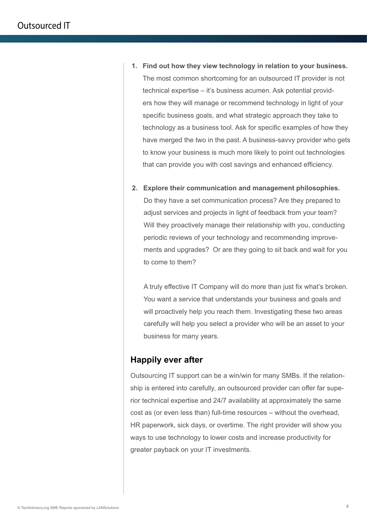- **1. Find out how they view technology in relation to your business.** The most common shortcoming for an outsourced IT provider is not technical expertise – it's business acumen. Ask potential providers how they will manage or recommend technology in light of your specific business goals, and what strategic approach they take to technology as a business tool. Ask for specific examples of how they have merged the two in the past. A business-savvy provider who gets to know your business is much more likely to point out technologies that can provide you with cost savings and enhanced efficiency.
- **2. Explore their communication and management philosophies.** Do they have a set communication process? Are they prepared to adjust services and projects in light of feedback from your team? Will they proactively manage their relationship with you, conducting periodic reviews of your technology and recommending improvements and upgrades? Or are they going to sit back and wait for you to come to them?

A truly effective IT Company will do more than just fix what's broken. You want a service that understands your business and goals and will proactively help you reach them. Investigating these two areas carefully will help you select a provider who will be an asset to your business for many years.

#### **Happily ever after**

Outsourcing IT support can be a win/win for many SMBs. If the relationship is entered into carefully, an outsourced provider can offer far superior technical expertise and 24/7 availability at approximately the same cost as (or even less than) full-time resources – without the overhead, HR paperwork, sick days, or overtime. The right provider will show you ways to use technology to lower costs and increase productivity for greater payback on your IT investments.